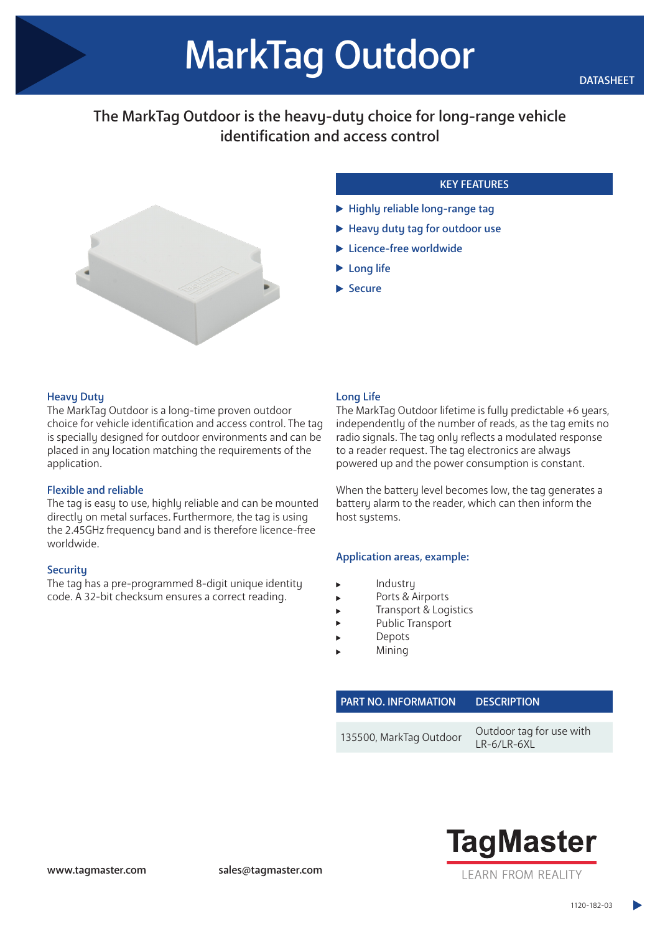# The MarkTag Outdoor is the heavy-duty choice for long-range vehicle identification and access control



# KEY FEATURES

- $\blacktriangleright$  Highly reliable long-range tag
- Heavy duty tag for outdoor use
- Licence-free worldwide
- **Long life**
- $\blacktriangleright$  Secure

## **Heavy Duty**

The MarkTag Outdoor is a long-time proven outdoor choice for vehicle identification and access control. The tag is specially designed for outdoor environments and can be placed in any location matching the requirements of the application.

#### Flexible and reliable

The tag is easy to use, highly reliable and can be mounted directly on metal surfaces. Furthermore, the tag is using the 2.45GHz frequency band and is therefore licence-free worldwide.

#### **Securitu**

The tag has a pre-programmed 8-digit unique identity code. A 32-bit checksum ensures a correct reading.

## Long Life

The MarkTag Outdoor lifetime is fully predictable +6 years, independently of the number of reads, as the tag emits no radio signals. The tag only reflects a modulated response to a reader request. The tag electronics are always powered up and the power consumption is constant.

When the battery level becomes low, the tag generates a battery alarm to the reader, which can then inform the host systems.

#### Application areas, example:

- Industry
- Ports & Airports
- Transport & Logistics
- Public Transport
- Depots
- Mining

PART NO. INFORMATION DESCRIPTION 135500, MarkTag Outdoor U.D. 6/LD. 6YL



LR-6/LR-6XL